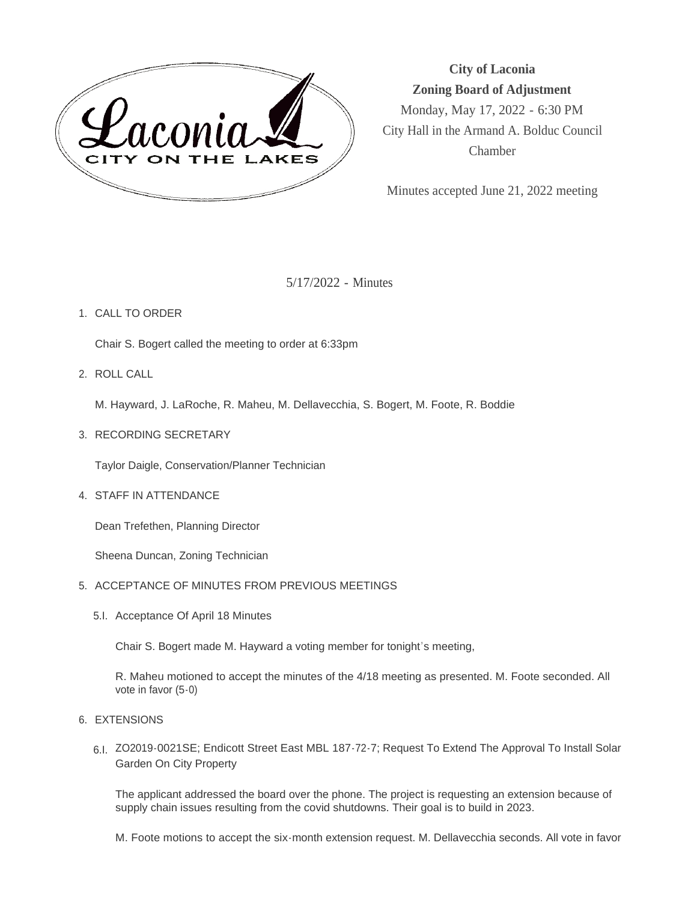

**City of Laconia Zoning Board of Adjustment** Monday, May 17, 2022 - 6:30 PM City Hall in the Armand A. Bolduc Council Chamber

Minutes accepted June 21, 2022 meeting

5/17/2022 - Minutes

## 1. CALL TO ORDER

Chair S. Bogert called the meeting to order at 6:33pm

ROLL CALL 2.

M. Hayward, J. LaRoche, R. Maheu, M. Dellavecchia, S. Bogert, M. Foote, R. Boddie

3. RECORDING SECRETARY

Taylor Daigle, Conservation/Planner Technician

4. STAFF IN ATTENDANCE

Dean Trefethen, Planning Director

Sheena Duncan, Zoning Technician

- 5. ACCEPTANCE OF MINUTES FROM PREVIOUS MEETINGS
	- 5.I. Acceptance Of April 18 Minutes

Chair S. Bogert made M. Hayward a voting member for tonight's meeting,

R. Maheu motioned to accept the minutes of the 4/18 meeting as presented. M. Foote seconded. All vote in favor (5-0)

- 6. EXTENSIONS
	- 6.I. ZO2019-0021SE; Endicott Street East MBL 187-72-7; Request To Extend The Approval To Install Solar Garden On City Property

The applicant addressed the board over the phone. The project is requesting an extension because of supply chain issues resulting from the covid shutdowns. Their goal is to build in 2023.

M. Foote motions to accept the six-month extension request. M. Dellavecchia seconds. All vote in favor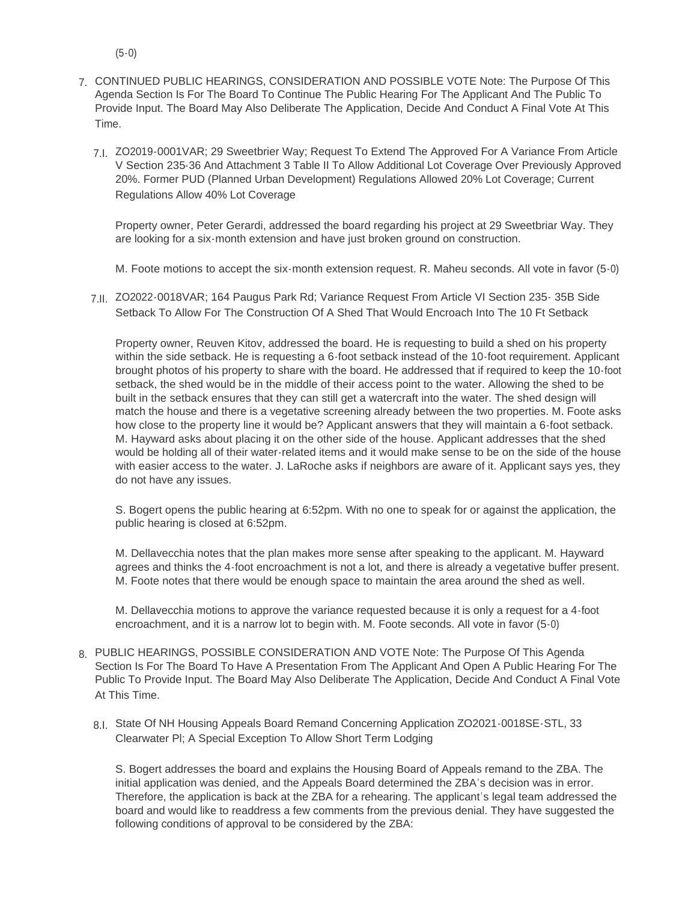- (5-0)
- CONTINUED PUBLIC HEARINGS, CONSIDERATION AND POSSIBLE VOTE Note: The Purpose Of This 7. Agenda Section Is For The Board To Continue The Public Hearing For The Applicant And The Public To Provide Input. The Board May Also Deliberate The Application, Decide And Conduct A Final Vote At This Time.
	- 7.I. ZO2019-0001VAR; 29 Sweetbrier Way; Request To Extend The Approved For A Variance From Article V Section 235-36 And Attachment 3 Table II To Allow Additional Lot Coverage Over Previously Approved 20%. Former PUD (Planned Urban Development) Regulations Allowed 20% Lot Coverage; Current Regulations Allow 40% Lot Coverage

Property owner, Peter Gerardi, addressed the board regarding his project at 29 Sweetbriar Way. They are looking for a six-month extension and have just broken ground on construction.

M. Foote motions to accept the six-month extension request. R. Maheu seconds. All vote in favor (5-0)

7.II. ZO2022-0018VAR; 164 Paugus Park Rd; Variance Request From Article VI Section 235- 35B Side Setback To Allow For The Construction Of A Shed That Would Encroach Into The 10 Ft Setback

Property owner, Reuven Kitov, addressed the board. He is requesting to build a shed on his property within the side setback. He is requesting a 6-foot setback instead of the 10-foot requirement. Applicant brought photos of his property to share with the board. He addressed that if required to keep the 10-foot setback, the shed would be in the middle of their access point to the water. Allowing the shed to be built in the setback ensures that they can still get a watercraft into the water. The shed design will match the house and there is a vegetative screening already between the two properties. M. Foote asks how close to the property line it would be? Applicant answers that they will maintain a 6-foot setback. M. Hayward asks about placing it on the other side of the house. Applicant addresses that the shed would be holding all of their water-related items and it would make sense to be on the side of the house with easier access to the water. J. LaRoche asks if neighbors are aware of it. Applicant says yes, they do not have any issues.

S. Bogert opens the public hearing at 6:52pm. With no one to speak for or against the application, the public hearing is closed at 6:52pm.

M. Dellavecchia notes that the plan makes more sense after speaking to the applicant. M. Hayward agrees and thinks the 4-foot encroachment is not a lot, and there is already a vegetative buffer present. M. Foote notes that there would be enough space to maintain the area around the shed as well.

M. Dellavecchia motions to approve the variance requested because it is only a request for a 4-foot encroachment, and it is a narrow lot to begin with. M. Foote seconds. All vote in favor (5-0)

- PUBLIC HEARINGS, POSSIBLE CONSIDERATION AND VOTE Note: The Purpose Of This Agenda 8. Section Is For The Board To Have A Presentation From The Applicant And Open A Public Hearing For The Public To Provide Input. The Board May Also Deliberate The Application, Decide And Conduct A Final Vote At This Time.
	- State Of NH Housing Appeals Board Remand Concerning Application ZO2021-0018SE-STL, 33 8.I. Clearwater Pl; A Special Exception To Allow Short Term Lodging

S. Bogert addresses the board and explains the Housing Board of Appeals remand to the ZBA. The initial application was denied, and the Appeals Board determined the ZBA's decision was in error. Therefore, the application is back at the ZBA for a rehearing. The applicant's legal team addressed the board and would like to readdress a few comments from the previous denial. They have suggested the following conditions of approval to be considered by the ZBA: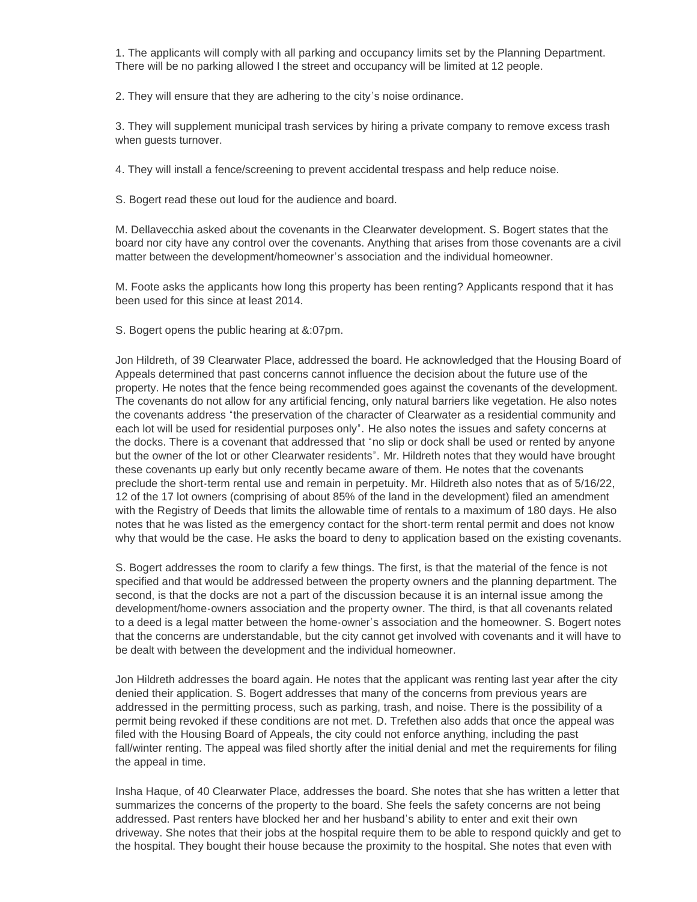1. The applicants will comply with all parking and occupancy limits set by the Planning Department. There will be no parking allowed I the street and occupancy will be limited at 12 people.

2. They will ensure that they are adhering to the city's noise ordinance.

3. They will supplement municipal trash services by hiring a private company to remove excess trash when guests turnover.

4. They will install a fence/screening to prevent accidental trespass and help reduce noise.

S. Bogert read these out loud for the audience and board.

M. Dellavecchia asked about the covenants in the Clearwater development. S. Bogert states that the board nor city have any control over the covenants. Anything that arises from those covenants are a civil matter between the development/homeowner's association and the individual homeowner.

M. Foote asks the applicants how long this property has been renting? Applicants respond that it has been used for this since at least 2014.

S. Bogert opens the public hearing at &:07pm.

Jon Hildreth, of 39 Clearwater Place, addressed the board. He acknowledged that the Housing Board of Appeals determined that past concerns cannot influence the decision about the future use of the property. He notes that the fence being recommended goes against the covenants of the development. The covenants do not allow for any artificial fencing, only natural barriers like vegetation. He also notes the covenants address "the preservation of the character of Clearwater as a residential community and each lot will be used for residential purposes only". He also notes the issues and safety concerns at the docks. There is a covenant that addressed that "no slip or dock shall be used or rented by anyone but the owner of the lot or other Clearwater residents". Mr. Hildreth notes that they would have brought these covenants up early but only recently became aware of them. He notes that the covenants preclude the short-term rental use and remain in perpetuity. Mr. Hildreth also notes that as of 5/16/22, 12 of the 17 lot owners (comprising of about 85% of the land in the development) filed an amendment with the Registry of Deeds that limits the allowable time of rentals to a maximum of 180 days. He also notes that he was listed as the emergency contact for the short-term rental permit and does not know why that would be the case. He asks the board to deny to application based on the existing covenants.

S. Bogert addresses the room to clarify a few things. The first, is that the material of the fence is not specified and that would be addressed between the property owners and the planning department. The second, is that the docks are not a part of the discussion because it is an internal issue among the development/home-owners association and the property owner. The third, is that all covenants related to a deed is a legal matter between the home-owner's association and the homeowner. S. Bogert notes that the concerns are understandable, but the city cannot get involved with covenants and it will have to be dealt with between the development and the individual homeowner.

Jon Hildreth addresses the board again. He notes that the applicant was renting last year after the city denied their application. S. Bogert addresses that many of the concerns from previous years are addressed in the permitting process, such as parking, trash, and noise. There is the possibility of a permit being revoked if these conditions are not met. D. Trefethen also adds that once the appeal was filed with the Housing Board of Appeals, the city could not enforce anything, including the past fall/winter renting. The appeal was filed shortly after the initial denial and met the requirements for filing the appeal in time.

Insha Haque, of 40 Clearwater Place, addresses the board. She notes that she has written a letter that summarizes the concerns of the property to the board. She feels the safety concerns are not being addressed. Past renters have blocked her and her husband's ability to enter and exit their own driveway. She notes that their jobs at the hospital require them to be able to respond quickly and get to the hospital. They bought their house because the proximity to the hospital. She notes that even with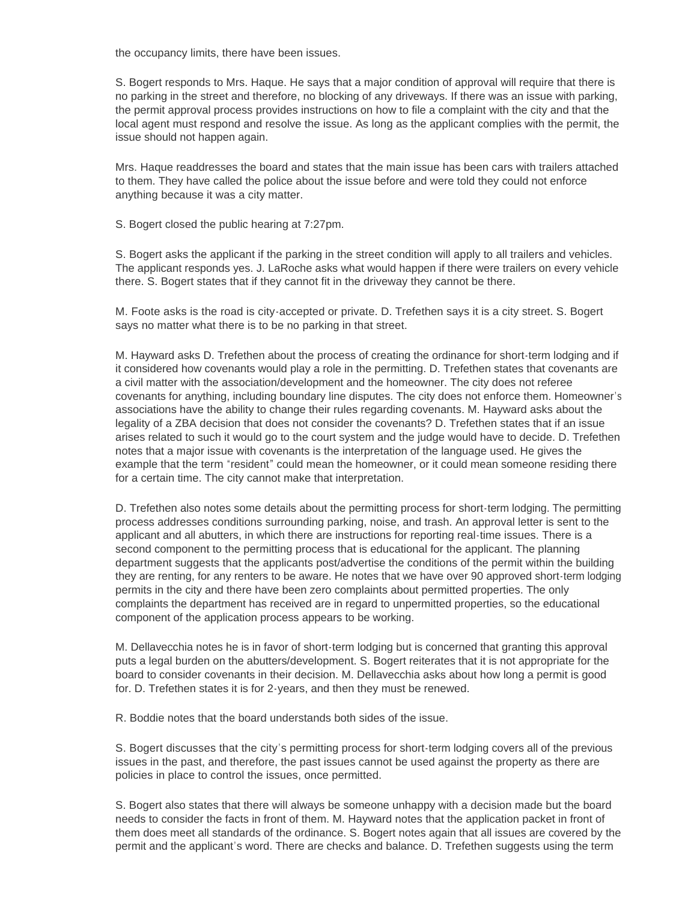the occupancy limits, there have been issues.

S. Bogert responds to Mrs. Haque. He says that a major condition of approval will require that there is no parking in the street and therefore, no blocking of any driveways. If there was an issue with parking, the permit approval process provides instructions on how to file a complaint with the city and that the local agent must respond and resolve the issue. As long as the applicant complies with the permit, the issue should not happen again.

Mrs. Haque readdresses the board and states that the main issue has been cars with trailers attached to them. They have called the police about the issue before and were told they could not enforce anything because it was a city matter.

S. Bogert closed the public hearing at 7:27pm.

S. Bogert asks the applicant if the parking in the street condition will apply to all trailers and vehicles. The applicant responds yes. J. LaRoche asks what would happen if there were trailers on every vehicle there. S. Bogert states that if they cannot fit in the driveway they cannot be there.

M. Foote asks is the road is city-accepted or private. D. Trefethen says it is a city street. S. Bogert says no matter what there is to be no parking in that street.

M. Hayward asks D. Trefethen about the process of creating the ordinance for short-term lodging and if it considered how covenants would play a role in the permitting. D. Trefethen states that covenants are a civil matter with the association/development and the homeowner. The city does not referee covenants for anything, including boundary line disputes. The city does not enforce them. Homeowner's associations have the ability to change their rules regarding covenants. M. Hayward asks about the legality of a ZBA decision that does not consider the covenants? D. Trefethen states that if an issue arises related to such it would go to the court system and the judge would have to decide. D. Trefethen notes that a major issue with covenants is the interpretation of the language used. He gives the example that the term "resident" could mean the homeowner, or it could mean someone residing there for a certain time. The city cannot make that interpretation.

D. Trefethen also notes some details about the permitting process for short-term lodging. The permitting process addresses conditions surrounding parking, noise, and trash. An approval letter is sent to the applicant and all abutters, in which there are instructions for reporting real-time issues. There is a second component to the permitting process that is educational for the applicant. The planning department suggests that the applicants post/advertise the conditions of the permit within the building they are renting, for any renters to be aware. He notes that we have over 90 approved short-term lodging permits in the city and there have been zero complaints about permitted properties. The only complaints the department has received are in regard to unpermitted properties, so the educational component of the application process appears to be working.

M. Dellavecchia notes he is in favor of short-term lodging but is concerned that granting this approval puts a legal burden on the abutters/development. S. Bogert reiterates that it is not appropriate for the board to consider covenants in their decision. M. Dellavecchia asks about how long a permit is good for. D. Trefethen states it is for 2-years, and then they must be renewed.

R. Boddie notes that the board understands both sides of the issue.

S. Bogert discusses that the city's permitting process for short-term lodging covers all of the previous issues in the past, and therefore, the past issues cannot be used against the property as there are policies in place to control the issues, once permitted.

S. Bogert also states that there will always be someone unhappy with a decision made but the board needs to consider the facts in front of them. M. Hayward notes that the application packet in front of them does meet all standards of the ordinance. S. Bogert notes again that all issues are covered by the permit and the applicant's word. There are checks and balance. D. Trefethen suggests using the term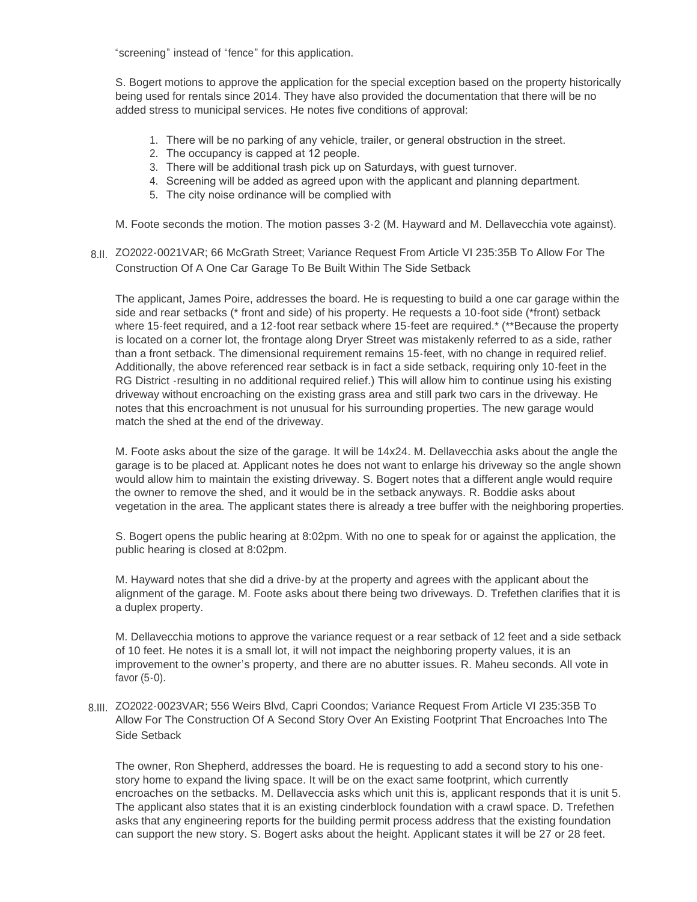"screening" instead of "fence" for this application.

S. Bogert motions to approve the application for the special exception based on the property historically being used for rentals since 2014. They have also provided the documentation that there will be no added stress to municipal services. He notes five conditions of approval:

- 1. There will be no parking of any vehicle, trailer, or general obstruction in the street.
- 2. The occupancy is capped at 12 people.
- 3. There will be additional trash pick up on Saturdays, with guest turnover.
- 4. Screening will be added as agreed upon with the applicant and planning department.
- 5. The city noise ordinance will be complied with

M. Foote seconds the motion. The motion passes 3-2 (M. Hayward and M. Dellavecchia vote against).

8.II. ZO2022-0021VAR; 66 McGrath Street; Variance Request From Article VI 235:35B To Allow For The Construction Of A One Car Garage To Be Built Within The Side Setback

The applicant, James Poire, addresses the board. He is requesting to build a one car garage within the side and rear setbacks (\* front and side) of his property. He requests a 10-foot side (\*front) setback where 15-feet required, and a 12-foot rear setback where 15-feet are required.\* (\*\*Because the property is located on a corner lot, the frontage along Dryer Street was mistakenly referred to as a side, rather than a front setback. The dimensional requirement remains 15-feet, with no change in required relief. Additionally, the above referenced rear setback is in fact a side setback, requiring only 10-feet in the RG District -resulting in no additional required relief.) This will allow him to continue using his existing driveway without encroaching on the existing grass area and still park two cars in the driveway. He notes that this encroachment is not unusual for his surrounding properties. The new garage would match the shed at the end of the driveway.

M. Foote asks about the size of the garage. It will be 14x24. M. Dellavecchia asks about the angle the garage is to be placed at. Applicant notes he does not want to enlarge his driveway so the angle shown would allow him to maintain the existing driveway. S. Bogert notes that a different angle would require the owner to remove the shed, and it would be in the setback anyways. R. Boddie asks about vegetation in the area. The applicant states there is already a tree buffer with the neighboring properties.

S. Bogert opens the public hearing at 8:02pm. With no one to speak for or against the application, the public hearing is closed at 8:02pm.

M. Hayward notes that she did a drive-by at the property and agrees with the applicant about the alignment of the garage. M. Foote asks about there being two driveways. D. Trefethen clarifies that it is a duplex property.

M. Dellavecchia motions to approve the variance request or a rear setback of 12 feet and a side setback of 10 feet. He notes it is a small lot, it will not impact the neighboring property values, it is an improvement to the owner's property, and there are no abutter issues. R. Maheu seconds. All vote in favor (5-0).

8.III. ZO2022-0023VAR; 556 Weirs Blvd, Capri Coondos; Variance Request From Article VI 235:35B To Allow For The Construction Of A Second Story Over An Existing Footprint That Encroaches Into The Side Setback

The owner, Ron Shepherd, addresses the board. He is requesting to add a second story to his onestory home to expand the living space. It will be on the exact same footprint, which currently encroaches on the setbacks. M. Dellaveccia asks which unit this is, applicant responds that it is unit 5. The applicant also states that it is an existing cinderblock foundation with a crawl space. D. Trefethen asks that any engineering reports for the building permit process address that the existing foundation can support the new story. S. Bogert asks about the height. Applicant states it will be 27 or 28 feet.